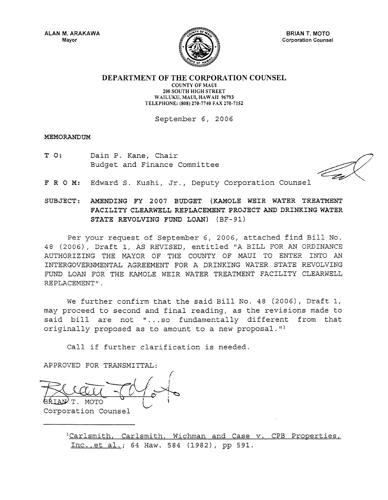

BRIAN T. MOTO Corporation Counsel

DEPARTMENT OF THE CORPORATION COUNSEL

COUNTY OF MAUl 200 SOUTH HIGH STREET WAILUKU, MAUl, HAWAII 96793 TELEPHONE: (808) 270-7740 FAX 270-7152

September 6, 2006

#### MEMORANDUM

T 0: Dain P. Kane, Chair Budget and Finance Committee

FRO M: Edward S. Kushi, Jr., Deputy Corporation Counsel

# SUBJECT: AMENDING FY 2007 BUDGET (KAMOLE WEIR WATER TREATMENT FACILITY CLEARWELL REPLACEMENT PROJECT AND DRINKING WATER STATE REVOLVING FUND LOAN) (BF-91)

Per your request of September 6, 2006, attached find Bill No. 48 (2006), Draft I, AS REVISED, entitled "A BILL FOR AN ORDINANCE AUTHORIZING THE MAYOR OF THE COUNTY OF MAUl TO ENTER INTO AN INTERGOVERNMENTAL AGREEMENT FOR A DRINKING WATER STATE REVOLVING FUND LOAN FOR THE KAMOLE WEIR WATER TREATMENT FACILITY CLEARWELL REPLACEMENT".

We further confirm that the said Bill No. 48 (2006), Draft I, may proceed to second and final reading, as the revisions made to said bill are not "... so fundamentally different from that originally proposed as to amount to a new proposal. $I^1$ 

Call if further clarification is needed.

APPROVED FOR TRANSMITTAL:

/  $-70/2$ T. MOTO ~' Corporation Counsel

<sup>1</sup>Carlsmith, Carlsmith, Wichman and Case v. CPB Properties, Inc., et al.; 64 Haw. 584 (1982), pp 591.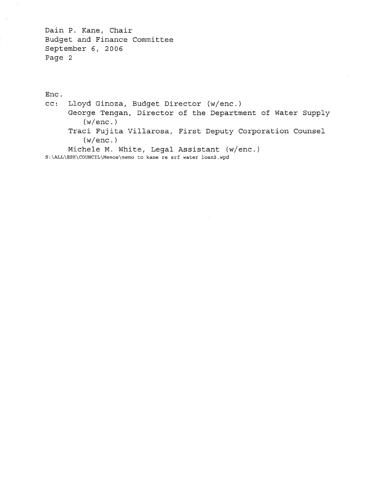Dain P. Kane, Chair Budget and Finance Committee September 6, 2006 Page 2

Enc. cc: Lloyd Ginoza, Budget Director (w/enc.) George Tengan, Director of the Department of Water Supply (w/enc.) Traci Fujita Villarosa, First Deputy Corporation Counsel (w/enc.) Michele M. White, Legal Assistant (w/enc.) S:\ALL\ESK\COUNCIL\Memos\memo to kane re srf water loan2.wpd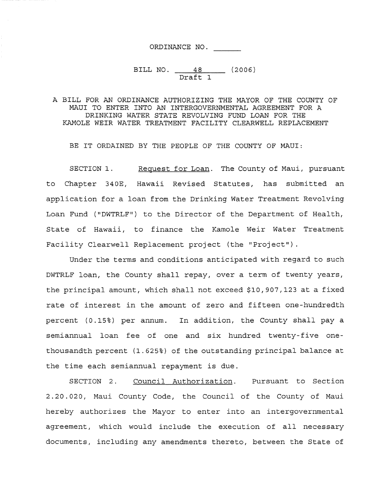# ORDINANCE NO.

# BILL NO. <u>48</u> (2006) Draft 1

#### A BILL FOR AN ORDINANCE AUTHORIZING THE MAYOR OF THE COUNTY OF MAUl TO ENTER INTO AN INTERGOVERNMENTAL AGREEMENT FOR A DRINKING WATER STATE REVOLVING FUND LOAN FOR THE KAMOLE WEIR WATER TREATMENT FACILITY CLEARWELL REPLACEMENT

BE IT ORDAINED BY THE PEOPLE OF THE COUNTY OF MAUI:

SECTION 1. Request for Loan. The County of Maui, pursuant to Chapter 340E, Hawaii Revised Statutes, has submitted an application for a loan from the Drinking Water Treatment Revolving Loan Fund ("DWTRLF") to the Director of the Department of Health, State of Hawaii, to finance the Kamole Weir Water Treatment Facility Clearwell Replacement project (the "Project").

Under the terms and conditions anticipated with regard to such DWTRLF loan, the County shall repay, over a term of twenty years, the principal amount, which shall not exceed \$10,907,123 at a fixed rate of interest in the amount of zero and fifteen one-hundredth percent (0.15%) per annum. In addition, the County shall pay a semiannual loan fee of one and six hundred twenty-five onethousandth percent (1.625%) of the outstanding principal balance at the time each semiannual repayment is due.

SECTION 2. Council Authorization. Pursuant to Section 2.20.020, Maui County Code, the Council of the County of Maui hereby authorizes the Mayor to enter into an intergovernmental agreement, which would include the execution of all necessary documents, including any amendments thereto, between the State of